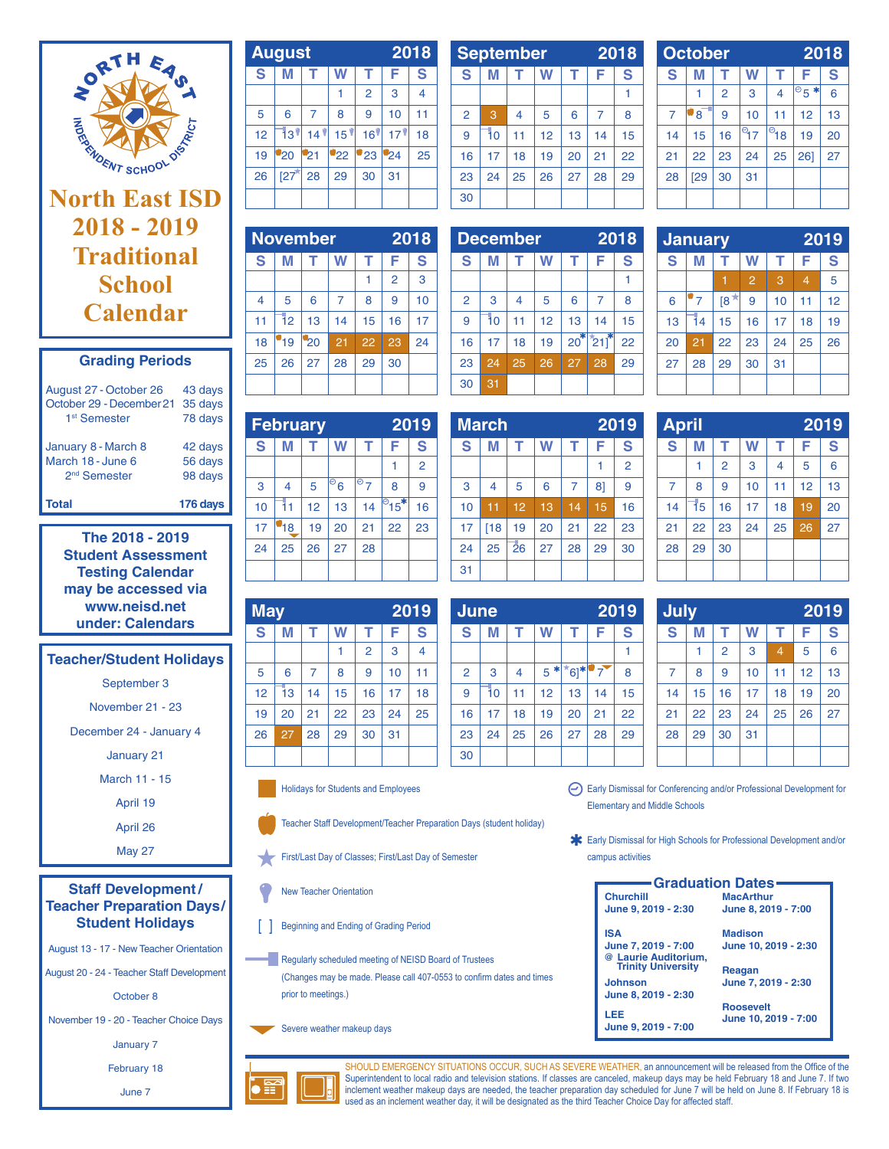

# **North East ISD 2018 - 2019 Traditional School Calendar**

| <b>Grading Periods</b> |  |
|------------------------|--|
|------------------------|--|

| Total                                                                          | 176 days                      |
|--------------------------------------------------------------------------------|-------------------------------|
| 2 <sup>nd</sup> Semester                                                       | 98 days                       |
| March 18 - June 6                                                              | 56 days                       |
| January 8 - March 8                                                            | 42 days                       |
| August 27 - October 26<br>October 29 - December 21<br>1 <sup>st</sup> Semester | 43 days<br>35 days<br>78 days |

**The 2018 - 2019 Student Assessment Testing Calendar may be accessed via www.neisd.net under: Calendars**

## **Teacher/Student Holidays**

September 3

November 21 - 23

December 24 - January 4

January 21

March 11 - 15

April 19

April 26

May 27

**Staff Development / Teacher Preparation Days/ Student Holidays**

August 13 - 17 - New Teacher Orientation

August 20 - 24 - Teacher Staff Development

October 8

November 19 - 20 - Teacher Choice Days

January 7

February 18

June 7

|    | <b>August</b> |                     | 2018            |                 |                 |    |
|----|---------------|---------------------|-----------------|-----------------|-----------------|----|
| S  | M             |                     |                 |                 | F               | S  |
|    |               |                     |                 | $\overline{2}$  | 3               | 4  |
| 5  | 6             | $\overline{7}$      | 8               | 9               | 10              | 11 |
| 12 | 131           | $14$ $\overline{ }$ | 15 <sup>9</sup> | 16 <sup>9</sup> | 17 <sup>1</sup> | 18 |
| 19 | 20            | -21                 | 22              | 23              | $^{124}$        | 25 |
| 26 | [27]          | 28                  | 29              | 30              | 31              |    |
|    |               |                     |                 |                 |                 |    |

| <b>September</b> |    | 2018           |    |    |    |    |
|------------------|----|----------------|----|----|----|----|
| S                | M  |                |    |    | F  | S  |
|                  |    |                |    |    |    |    |
| $\overline{2}$   | 3  | $\overline{4}$ | 5  | 6  | 7  | 8  |
| 9                | 10 | 11             | 12 | 13 | 14 | 15 |
| 16               | 17 | 18             | 19 | 20 | 21 | 22 |
| 23               | 24 | 25             | 26 | 27 | 28 | 29 |
| 30               |    |                |    |    |    |    |

|                | <b>October</b> |                | 2018   |                   |                     |    |
|----------------|----------------|----------------|--------|-------------------|---------------------|----|
| S              | М              |                | W      | т                 | F                   | S  |
|                |                | $\overline{2}$ | 3      | 4                 | $\overline{8}$<br>* | 6  |
| $\overline{7}$ | '8             | 9              | 10     | 11                | 12                  | 13 |
| 14             | 15             | 16             | ි $17$ | । <sup>ै</sup> 18 | 19                  | 20 |
| 21             | 22             | 23             | 24     | 25                | 261                 | 27 |
| 28             | [29]           | 30             | 31     |                   |                     |    |
|                |                |                |        |                   |                     |    |

| <b>November</b> |    | 2018 |    |                |    |
|-----------------|----|------|----|----------------|----|
| М               | т  |      | т  | F              | S  |
|                 |    |      |    | $\overline{2}$ | 3  |
| 5               | 6  | 7    | 8  | 9              | 10 |
| 12              | 13 | 14   | 15 | 16             | 17 |
| 19              | 20 | 21   | 22 | 23             | 24 |
| 26              | 27 | 28   | 29 | 30             |    |
|                 |    |      |    |                |    |
|                 |    |      |    |                |    |

|                | <b>December</b> |    | 2018 |       |     |    |
|----------------|-----------------|----|------|-------|-----|----|
| S              | М               |    | W    | т     | F   | S  |
|                |                 |    |      |       |     |    |
| $\overline{2}$ | 3               | 4  | 5    | 6     | 7   | 8  |
| 9              | Ī٥              | 11 | 12   | 13    | 14  | 15 |
| 16             | 17              | 18 | 19   | $20*$ | 211 | 22 |
| 23             | 24              | 25 | 26   | 27    | 28  | 29 |
| 30             | 31              |    |      |       |     |    |

|    | <b>January</b> |     | 2019           |    |    |    |
|----|----------------|-----|----------------|----|----|----|
| S  | М              | F   | S              |    |    |    |
|    |                |     | $\overline{2}$ | 3  | 4  | 5  |
| 6  | $\overline{7}$ | [8] | 9              | 10 | 11 | 12 |
| 13 | 14             | 15  | 16             | 17 | 18 | 19 |
| 20 | 21             | 22  | 23             | 24 | 25 | 26 |
| 27 | 28             | 29  | 30             | 31 |    |    |
|    |                |     |                |    |    |    |

|    | <b>February</b> |    |                            |               |                            | 2019           |    | <b>March</b> |
|----|-----------------|----|----------------------------|---------------|----------------------------|----------------|----|--------------|
| S  | М               |    | W                          |               | F                          | S              | S  | М            |
|    |                 |    |                            |               |                            | $\overline{2}$ |    |              |
| 3  | 4               | 5  | $\overline{\mathcal{O}}_6$ | $\tilde{P}$ 7 | 8                          | 9              | 3  | 4            |
| 10 | 11              | 12 | 13                         | 14            | $\sqrt{9}$ 15 <sup>*</sup> | 16             | 10 | 11           |
| 17 | 18              | 19 | 20                         | 21            | 22                         | 23             | 17 | [18]         |
| 24 | 25              | 26 | 27                         | 28            |                            |                | 24 | 25           |
|    |                 |    |                            |               |                            |                | 31 |              |

| <b>May</b> |    |    |    | 2019           |    |    |
|------------|----|----|----|----------------|----|----|
| S          | М  | т  | W  | т              | F  | S  |
|            |    |    |    | $\overline{2}$ | 3  | 4  |
| 5          | 6  | 7  | 8  | 9              | 10 | 11 |
| 12         | 13 | 14 | 15 | 16             | 17 | 18 |
| 19         | 20 | 21 | 22 | 23             | 24 | 25 |
| 26         | 27 | 28 | 29 | 30             | 31 |    |
|            |    |    |    |                |    |    |

Holidays for Students and Employees

Teacher Staff Development/Teacher Preparation Days (student holiday)

First/Last Day of Classes; First/Last Day of Semester

New Teacher Orientation

**Beginning and Ending of Grading Period** 

Regularly scheduled meeting of NEISD Board of Trustees (Changes may be made. Please call 407-0553 to confirm dates and times prior to meetings.)

Severe weather makeup days



| <b>April</b> |    |                |    |    |    | 2019 |
|--------------|----|----------------|----|----|----|------|
| S            | М  | т              | W  |    | F  | S    |
|              | 1  | $\overline{2}$ | 3  | 4  | 5  | 6    |
| 7            | 8  | 9              | 10 | 11 | 12 | 13   |
| 14           | 15 | 16             | 17 | 18 | 19 | 20   |
| 21           | 22 | 23             | 24 | 25 | 26 | 27   |
| 28           | 29 | 30             |    |    |    |      |
|              |    |                |    |    |    |      |

| <b>June</b>    |    |                | 2019 |      |    |    |
|----------------|----|----------------|------|------|----|----|
| S              | М  | т              | W    | т    | F  | S  |
|                |    |                |      |      |    |    |
| $\overline{2}$ | 3  | $\overline{4}$ | $5*$ | *6]* | 7  | 8  |
| 9              | 10 | 11             | 12   | 13   | 14 | 15 |
| 16             | 17 | 18             | 19   | 20   | 21 | 22 |
| 23             | 24 | 25             | 26   | 27   | 28 | 29 |
| 30             |    |                |      |      |    |    |

| July           |    |                |    |                | 2019 |    |
|----------------|----|----------------|----|----------------|------|----|
| S              | М  | т              | W  | т              | F    | S  |
|                |    | $\overline{2}$ | 3  | $\overline{4}$ | 5    | 6  |
| $\overline{7}$ | 8  | 9              | 10 | 11             | 12   | 13 |
| 14             | 15 | 16             | 17 | 18             | 19   | 20 |
| 21             | 22 | 23             | 24 | 25             | 26   | 27 |
| 28             | 29 | 30             | 31 |                |      |    |
|                |    |                |    |                |      |    |

Early Dismissal for Conferencing and/or Professional Development for Elementary and Middle Schools

Early Dismissal for High Schools for Professional Development and/or campus activities

| <b>Graduation Dates</b>                    |                      |  |  |  |  |
|--------------------------------------------|----------------------|--|--|--|--|
| <b>Churchill</b>                           | <b>MacArthur</b>     |  |  |  |  |
| June 9, 2019 - 2:30                        | June 8, 2019 - 7:00  |  |  |  |  |
| <b>ISA</b>                                 | <b>Madison</b>       |  |  |  |  |
| June 7, 2019 - 7:00                        | June 10, 2019 - 2:30 |  |  |  |  |
| @ Laurie Auditorium,<br>Trinity University |                      |  |  |  |  |
|                                            | Reagan               |  |  |  |  |
| <b>Johnson</b>                             | June 7, 2019 - 2:30  |  |  |  |  |
| June 8, 2019 - 2:30                        |                      |  |  |  |  |
|                                            | <b>Roosevelt</b>     |  |  |  |  |
| LEE                                        | June 10, 2019 - 7:00 |  |  |  |  |
| June 9, 2019 - 7:00                        |                      |  |  |  |  |
|                                            |                      |  |  |  |  |



SHOULD EMERGENCY SITUATIONS OCCUR, SUCH AS SEVERE WEATHER, an announcement will be released from the Office of the Superintendent to local radio and television stations. If classes are canceled, makeup days may be held February 18 and June 7. If two inclement weather makeup days are needed, the teacher preparation day scheduled for June 7 will be held on June 8. If February 18 is used as an inclement weather day, it will be designated as the third Teacher Choice Day for affected staff.